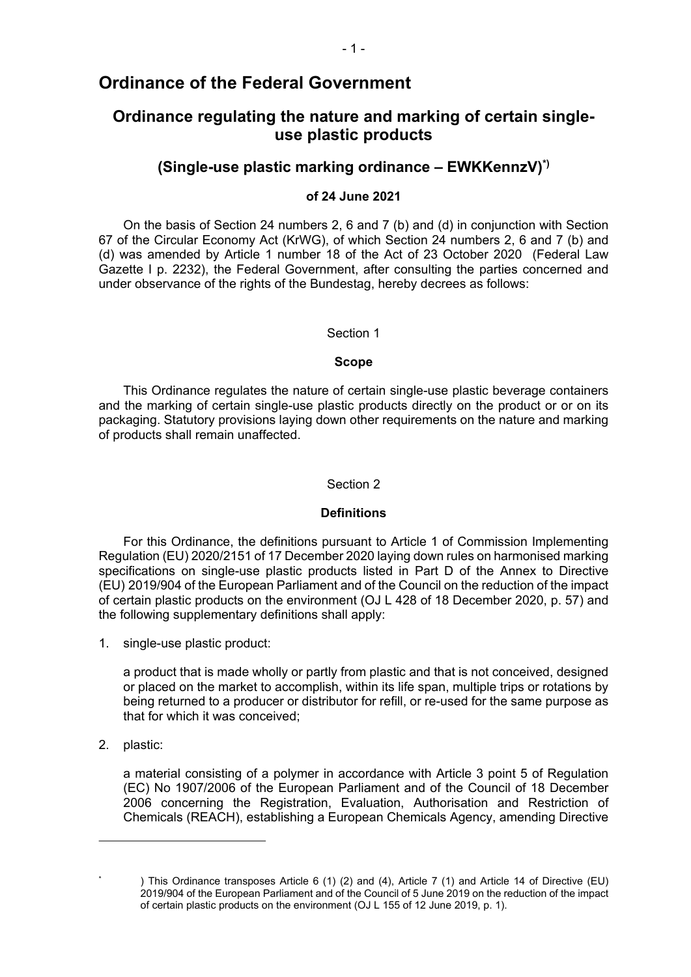## **Ordinance of the Federal Government**

# **Ordinance regulating the nature and marking of certain singleuse plastic products**

## **(Single-use plastic marking ordinance – EWKKennzV)\*)**

## **of 24 June 2021**

On the basis of Section 24 numbers 2, 6 and 7 (b) and (d) in conjunction with Section 67 of the Circular Economy Act (KrWG), of which Section 24 numbers 2, 6 and 7 (b) and (d) was amended by Article 1 number 18 of the Act of 23 October 2020 (Federal Law Gazette I p. 2232), the Federal Government, after consulting the parties concerned and under observance of the rights of the Bundestag, hereby decrees as follows:

### Section 1

#### **Scope**

This Ordinance regulates the nature of certain single-use plastic beverage containers and the marking of certain single-use plastic products directly on the product or or on its packaging. Statutory provisions laying down other requirements on the nature and marking of products shall remain unaffected.

#### Section 2

### **Definitions**

For this Ordinance, the definitions pursuant to Article 1 of Commission Implementing Regulation (EU) 2020/2151 of 17 December 2020 laying down rules on harmonised marking specifications on single-use plastic products listed in Part D of the Annex to Directive (EU) 2019/904 of the European Parliament and of the Council on the reduction of the impact of certain plastic products on the environment (OJ L 428 of 18 December 2020, p. 57) and the following supplementary definitions shall apply:

1. single-use plastic product:

a product that is made wholly or partly from plastic and that is not conceived, designed or placed on the market to accomplish, within its life span, multiple trips or rotations by being returned to a producer or distributor for refill, or re-used for the same purpose as that for which it was conceived;

2. plastic:

\*

a material consisting of a polymer in accordance with Article 3 point 5 of Regulation (EC) No 1907/2006 of the European Parliament and of the Council of 18 December 2006 concerning the Registration, Evaluation, Authorisation and Restriction of Chemicals (REACH), establishing a European Chemicals Agency, amending Directive

<sup>)</sup> This Ordinance transposes Article 6 (1) (2) and (4), Article 7 (1) and Article 14 of Directive (EU) 2019/904 of the European Parliament and of the Council of 5 June 2019 on the reduction of the impact of certain plastic products on the environment (OJ L 155 of 12 June 2019, p. 1).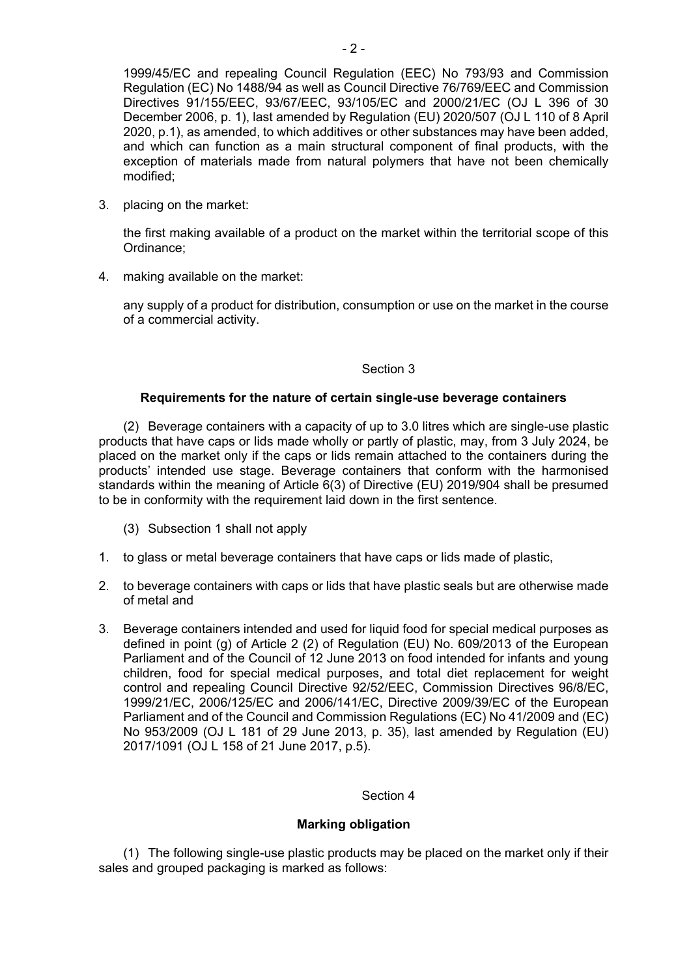1999/45/EC and repealing Council Regulation (EEC) No 793/93 and Commission Regulation (EC) No 1488/94 as well as Council Directive 76/769/EEC and Commission Directives 91/155/EEC, 93/67/EEC, 93/105/EC and 2000/21/EC (OJ L 396 of 30 December 2006, p. 1), last amended by Regulation (EU) 2020/507 (OJ L 110 of 8 April 2020, p.1), as amended, to which additives or other substances may have been added, and which can function as a main structural component of final products, with the exception of materials made from natural polymers that have not been chemically modified;

3. placing on the market:

the first making available of a product on the market within the territorial scope of this Ordinance;

4. making available on the market:

any supply of a product for distribution, consumption or use on the market in the course of a commercial activity.

### Section 3

## **Requirements for the nature of certain single-use beverage containers**

(2) Beverage containers with a capacity of up to 3.0 litres which are single-use plastic products that have caps or lids made wholly or partly of plastic, may, from 3 July 2024, be placed on the market only if the caps or lids remain attached to the containers during the products' intended use stage. Beverage containers that conform with the harmonised standards within the meaning of Article 6(3) of Directive (EU) 2019/904 shall be presumed to be in conformity with the requirement laid down in the first sentence.

- (3) Subsection 1 shall not apply
- 1. to glass or metal beverage containers that have caps or lids made of plastic,
- 2. to beverage containers with caps or lids that have plastic seals but are otherwise made of metal and
- 3. Beverage containers intended and used for liquid food for special medical purposes as defined in point (g) of Article 2 (2) of Regulation (EU) No. 609/2013 of the European Parliament and of the Council of 12 June 2013 on food intended for infants and young children, food for special medical purposes, and total diet replacement for weight control and repealing Council Directive 92/52/EEC, Commission Directives 96/8/EC, 1999/21/EC, 2006/125/EC and 2006/141/EC, Directive 2009/39/EC of the European Parliament and of the Council and Commission Regulations (EC) No 41/2009 and (EC) No 953/2009 (OJ L 181 of 29 June 2013, p. 35), last amended by Regulation (EU) 2017/1091 (OJ L 158 of 21 June 2017, p.5).

### Section 4

### **Marking obligation**

(1) The following single-use plastic products may be placed on the market only if their sales and grouped packaging is marked as follows: